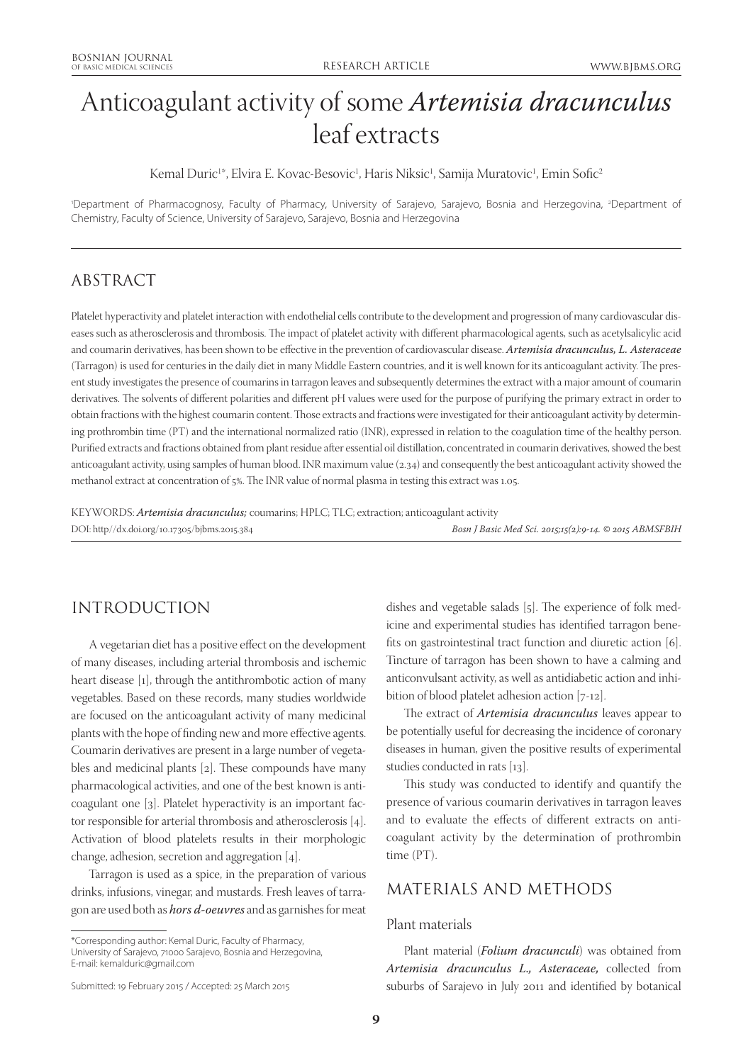# Anticoagulant activity of some *Artemisia dracunculus* leaf extracts

Kemal Duric<sup>1\*</sup>, Elvira E. Kovac-Besovic<sup>1</sup>, Haris Niksic<sup>1</sup>, Samija Muratovic<sup>1</sup>, Emin Sofic<sup>2</sup>

'Department of Pharmacognosy, Faculty of Pharmacy, University of Sarajevo, Sarajevo, Bosnia and Herzegovina, <sup>2</sup>Department of Chemistry, Faculty of Science, University of Sarajevo, Sarajevo, Bosnia and Herzegovina

# ABSTRACT

Platelet hyperactivity and platelet interaction with endothelial cells contribute to the development and progression of many cardiovascular diseases such as atherosclerosis and thrombosis. The impact of platelet activity with different pharmacological agents, such as acetylsalicylic acid and coumarin derivatives, has been shown to be effective in the prevention of cardiovascular disease. *Artemisia dracunculus, L. Asteraceae* (Tarragon) is used for centuries in the daily diet in many Middle Eastern countries, and it is well known for its anticoagulant activity. The present study investigates the presence of coumarins in tarragon leaves and subsequently determines the extract with a major amount of coumarin derivatives. The solvents of different polarities and different pH values were used for the purpose of purifying the primary extract in order to obtain fractions with the highest coumarin content. Those extracts and fractions were investigated for their anticoagulant activity by determining prothrombin time (PT) and the international normalized ratio (INR), expressed in relation to the coagulation time of the healthy person. Purified extracts and fractions obtained from plant residue after essential oil distillation, concentrated in coumarin derivatives, showed the best anticoagulant activity, using samples of human blood. INR maximum value (2.34) and consequently the best anticoagulant activity showed the methanol extract at concentration of 5%. The INR value of normal plasma in testing this extract was 1.05.

KEYWORDS: *Artemisia dracunculus;* coumarins; HPLC; TLC; extraction; anticoagulant activity DOI: http//dx.doi.org/10.17305/bjbms.2015.384 *Bosn J Basic Med Sci. 2015;15(2):9-14. © 2015 ABMSFBIH*

## INTRODUCTION

A vegetarian diet has a positive effect on the development of many diseases, including arterial thrombosis and ischemic heart disease [1], through the antithrombotic action of many vegetables. Based on these records, many studies worldwide are focused on the anticoagulant activity of many medicinal plants with the hope of finding new and more effective agents. Coumarin derivatives are present in a large number of vegetables and medicinal plants [2]. These compounds have many pharmacological activities, and one of the best known is anticoagulant one [3]. Platelet hyperactivity is an important factor responsible for arterial thrombosis and atherosclerosis [4]. Activation of blood platelets results in their morphologic change, adhesion, secretion and aggregation [4].

Tarragon is used as a spice, in the preparation of various drinks, infusions, vinegar, and mustards. Fresh leaves of tarragon are used both as *hors d-oeuvres* and as garnishes for meat

\*Corresponding author: Kemal Duric, Faculty of Pharmacy,

University of Sarajevo, 71000 Sarajevo, Bosnia and Herzegovina, E-mail: kemalduric@gmail.com

dishes and vegetable salads [5]. The experience of folk medicine and experimental studies has identified tarragon benefits on gastrointestinal tract function and diuretic action [6]. Tincture of tarragon has been shown to have a calming and anticonvulsant activity, as well as antidiabetic action and inhibition of blood platelet adhesion action [7-12].

The extract of *Artemisia dracunculus* leaves appear to be potentially useful for decreasing the incidence of coronary diseases in human, given the positive results of experimental studies conducted in rats [13].

This study was conducted to identify and quantify the presence of various coumarin derivatives in tarragon leaves and to evaluate the effects of different extracts on anticoagulant activity by the determination of prothrombin time (PT).

## MATERIALS AND METHODS

#### Plant materials

Plant material (*Folium dracunculi*) was obtained from *Artemisia dracunculus L., Asteraceae,* collected from suburbs of Sarajevo in July 2011 and identified by botanical

Submitted: 19 February 2015 / Accepted: 25 March 2015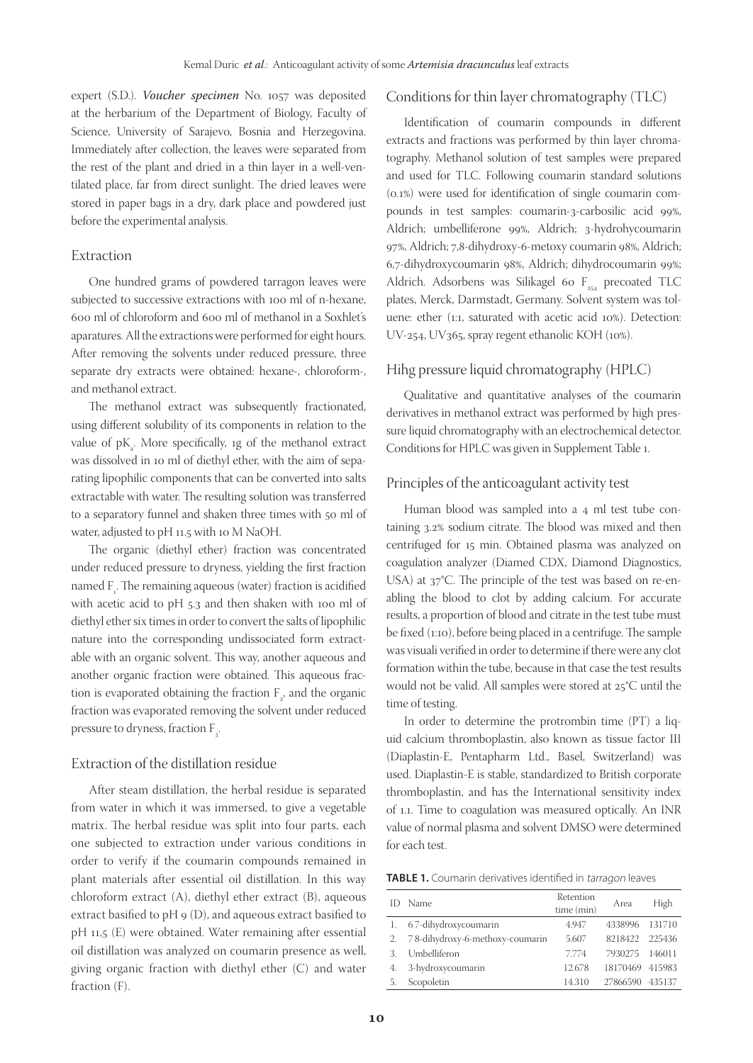expert (S.D.). *Voucher specimen* No. 1057 was deposited at the herbarium of the Department of Biology, Faculty of Science, University of Sarajevo, Bosnia and Herzegovina. Immediately after collection, the leaves were separated from the rest of the plant and dried in a thin layer in a well-ventilated place, far from direct sunlight. The dried leaves were stored in paper bags in a dry, dark place and powdered just before the experimental analysis.

#### Extraction

One hundred grams of powdered tarragon leaves were subjected to successive extractions with 100 ml of n-hexane, 600 ml of chloroform and 600 ml of methanol in a Soxhlet's aparatures. All the extractions were performed for eight hours. After removing the solvents under reduced pressure, three separate dry extracts were obtained: hexane-, chloroform-, and methanol extract.

The methanol extract was subsequently fractionated, using different solubility of its components in relation to the value of  $pK_a$ . More specifically, 1g of the methanol extract was dissolved in 10 ml of diethyl ether, with the aim of separating lipophilic components that can be converted into salts extractable with water. The resulting solution was transferred to a separatory funnel and shaken three times with 50 ml of water, adjusted to pH 11.5 with 10 M NaOH.

The organic (diethyl ether) fraction was concentrated under reduced pressure to dryness, yielding the first fraction named  $F_{1}$ . The remaining aqueous (water) fraction is acidified with acetic acid to pH 5.3 and then shaken with 100 ml of diethyl ether six times in order to convert the salts of lipophilic nature into the corresponding undissociated form extractable with an organic solvent. This way, another aqueous and another organic fraction were obtained. This aqueous fraction is evaporated obtaining the fraction  $F_{2}$ , and the organic fraction was evaporated removing the solvent under reduced pressure to dryness, fraction  $F_{3}$ . .

#### Extraction of the distillation residue

After steam distillation, the herbal residue is separated from water in which it was immersed, to give a vegetable matrix. The herbal residue was split into four parts, each one subjected to extraction under various conditions in order to verify if the coumarin compounds remained in plant materials after essential oil distillation. In this way chloroform extract (A), diethyl ether extract (B), aqueous extract basified to  $pH$  9 (D), and aqueous extract basified to pH 11,5 (E) were obtained. Water remaining after essential oil distillation was analyzed on coumarin presence as well, giving organic fraction with diethyl ether (C) and water fraction (F).

### Conditions for thin layer chromatography (TLC)

Identification of coumarin compounds in different extracts and fractions was performed by thin layer chromatography. Methanol solution of test samples were prepared and used for TLC. Following coumarin standard solutions (0.1%) were used for identification of single coumarin compounds in test samples: coumarin-3-carbosilic acid 99%, Aldrich; umbelliferone 99%, Aldrich; 3-hydrohycoumarin 97%, Aldrich; 7,8-dihydroxy-6-metoxy coumarin 98%, Aldrich; 6,7-dihydroxycoumarin 98%, Aldrich; dihydrocoumarin 99%; Aldrich. Adsorbens was Silikagel 60  $F_{254}$  precoated TLC plates, Merck, Darmstadt, Germany. Solvent system was toluene: ether (1:1, saturated with acetic acid 10%). Detection: UV-254, UV365, spray regent ethanolic KOH (10%).

### Hihg pressure liquid chromatography (HPLC)

Qualitative and quantitative analyses of the coumarin derivatives in methanol extract was performed by high pressure liquid chromatography with an electrochemical detector. Conditions for HPLC was given in Supplement Table 1.

#### Principles of the anticoagulant activity test

Human blood was sampled into a 4 ml test tube containing 3.2% sodium citrate. The blood was mixed and then centrifuged for 15 min. Obtained plasma was analyzed on coagulation analyzer (Diamed CDX, Diamond Diagnostics, USA) at 37°C. The principle of the test was based on re-enabling the blood to clot by adding calcium. For accurate results, a proportion of blood and citrate in the test tube must be fixed (1:10), before being placed in a centrifuge. The sample was visuali verified in order to determine if there were any clot formation within the tube, because in that case the test results would not be valid. All samples were stored at 25°C until the time of testing.

In order to determine the protrombin time (PT) a liquid calcium thromboplastin, also known as tissue factor III (Diaplastin-E, Pentapharm Ltd., Basel, Switzerland) was used. Diaplastin-E is stable, standardized to British corporate thromboplastin, and has the International sensitivity index of 1.1. Time to coagulation was measured optically. An INR value of normal plasma and solvent DMSO were determined for each test.

**TABLE 1.** Coumarin derivatives identified in tarragon leaves

| ID. | Name                               | Retention<br>time (min) | Area     | High   |
|-----|------------------------------------|-------------------------|----------|--------|
|     | 1. 67-dihydroxycoumarin            | 4.947                   | 4338996  | 131710 |
|     | 2. 78-dihydroxy-6-methoxy-coumarin | 5.607                   | 8218422  | 225436 |
| 3.  | Umbelliferon                       | 7774                    | 7930275  | 146011 |
| 4.  | 3-hydroxycoumarin                  | 12.678                  | 18170469 | 415983 |
| 5.  | Scopoletin                         | 14.310                  | 27866590 | 435137 |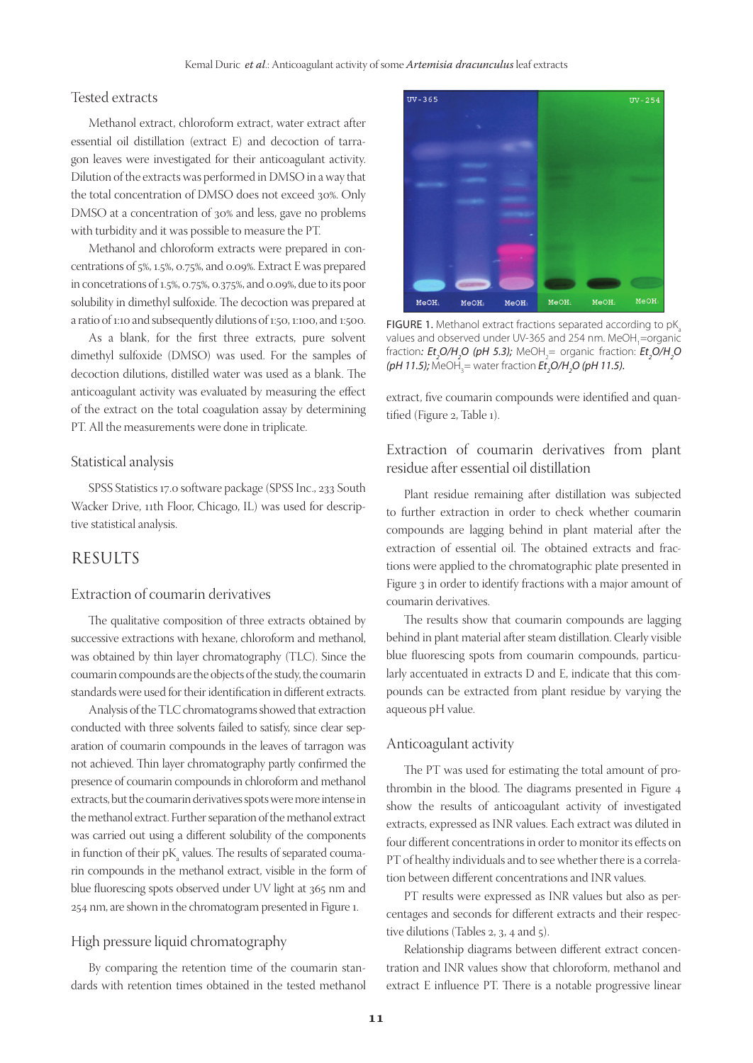### Tested extracts

Methanol extract, chloroform extract, water extract after essential oil distillation (extract E) and decoction of tarragon leaves were investigated for their anticoagulant activity. Dilution of the extracts was performed in DMSO in a way that the total concentration of DMSO does not exceed 30%. Only DMSO at a concentration of 30% and less, gave no problems with turbidity and it was possible to measure the PT.

Methanol and chloroform extracts were prepared in concentrations of 5%, 1.5%, 0.75%, and 0.09%. Extract E was prepared in concetrations of 1.5%, 0.75%, 0.375%, and 0.09%, due to its poor solubility in dimethyl sulfoxide. The decoction was prepared at a ratio of 1:10 and subsequently dilutions of 1:50, 1:100, and 1:500.

As a blank, for the first three extracts, pure solvent dimethyl sulfoxide (DMSO) was used. For the samples of decoction dilutions, distilled water was used as a blank. The anticoagulant activity was evaluated by measuring the effect of the extract on the total coagulation assay by determining PT. All the measurements were done in triplicate.

#### Statistical analysis

SPSS Statistics 17.0 software package (SPSS Inc., 233 South Wacker Drive, 11th Floor, Chicago, IL) was used for descriptive statistical analysis.

## RESULTS

#### Extraction of coumarin derivatives

The qualitative composition of three extracts obtained by successive extractions with hexane, chloroform and methanol, was obtained by thin layer chromatography (TLC). Since the coumarin compounds are the objects of the study, the coumarin standards were used for their identification in different extracts.

Analysis of the TLC chromatograms showed that extraction conducted with three solvents failed to satisfy, since clear separation of coumarin compounds in the leaves of tarragon was not achieved. Thin layer chromatography partly confirmed the presence of coumarin compounds in chloroform and methanol extracts, but the coumarin derivatives spots were more intense in the methanol extract. Further separation of the methanol extract was carried out using a different solubility of the components in function of their  $\rm pK_{a}$  values. The results of separated coumarin compounds in the methanol extract, visible in the form of blue fluorescing spots observed under UV light at 365 nm and 254 nm, are shown in the chromatogram presented in Figure 1.

#### High pressure liquid chromatography

By comparing the retention time of the coumarin standards with retention times obtained in the tested methanol



FIGURE 1. Methanol extract fractions separated according to  $pK$ values and observed under UV-365 and 254 nm. MeOH<sub>1</sub>=organic fraction: *Et<sub>2</sub>O/H<sub>2</sub>O (pH 5.3);* MeOH<sub>2</sub>= organic fraction: *Et<sub>2</sub>O/H<sub>2</sub>O (pH 11.5);* MeOH<sub>3</sub>= water fraction *Et<sub>2</sub>O/H<sub>2</sub>O (pH 11.5).* 

extract, five coumarin compounds were identified and quantified (Figure 2, Table 1).

## Extraction of coumarin derivatives from plant residue after essential oil distillation

Plant residue remaining after distillation was subjected to further extraction in order to check whether coumarin compounds are lagging behind in plant material after the extraction of essential oil. The obtained extracts and fractions were applied to the chromatographic plate presented in Figure 3 in order to identify fractions with a major amount of coumarin derivatives.

The results show that coumarin compounds are lagging behind in plant material after steam distillation. Clearly visible blue fluorescing spots from coumarin compounds, particularly accentuated in extracts D and E, indicate that this compounds can be extracted from plant residue by varying the aqueous pH value.

#### Anticoagulant activity

The PT was used for estimating the total amount of prothrombin in the blood. The diagrams presented in Figure 4 show the results of anticoagulant activity of investigated extracts, expressed as INR values. Each extract was diluted in four different concentrations in order to monitor its effects on PT of healthy individuals and to see whether there is a correlation between different concentrations and INR values.

PT results were expressed as INR values but also as percentages and seconds for different extracts and their respective dilutions (Tables 2, 3, 4 and 5).

Relationship diagrams between different extract concentration and INR values show that chloroform, methanol and extract E influence PT. There is a notable progressive linear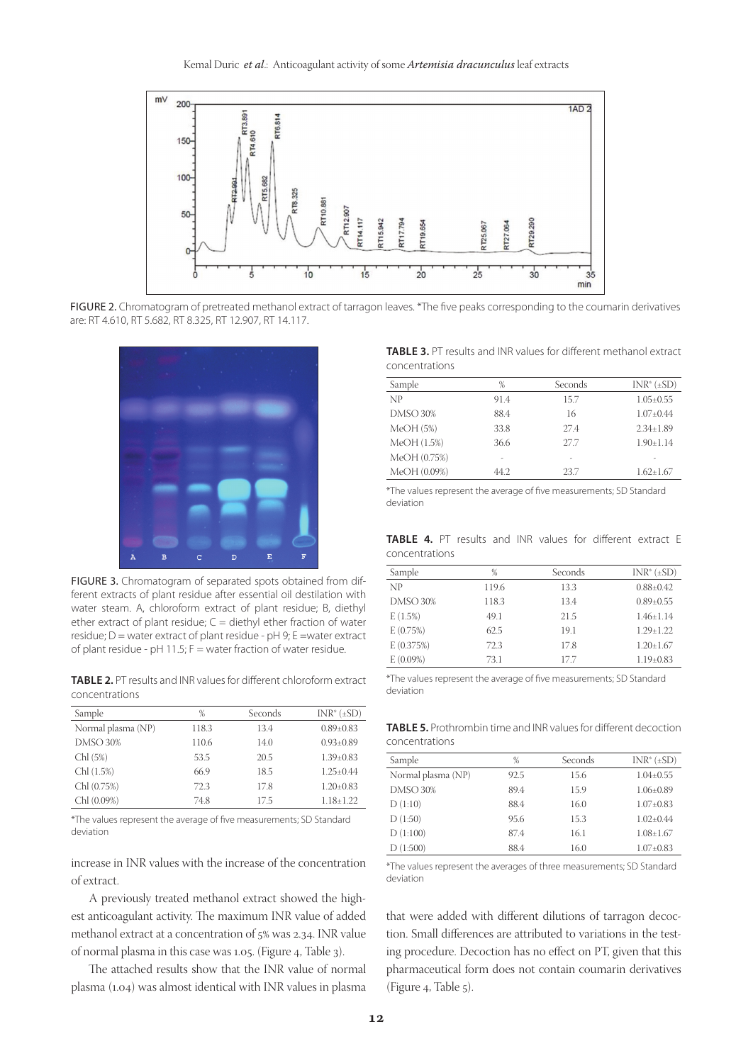

FIGURE 2. Chromatogram of pretreated methanol extract of tarragon leaves. \*The five peaks corresponding to the coumarin derivatives are: RT 4.610, RT 5.682, RT 8.325, RT 12.907, RT 14.117.



FIGURE 3. Chromatogram of separated spots obtained from different extracts of plant residue after essential oil destilation with water steam. A, chloroform extract of plant residue; B, diethyl ether extract of plant residue;  $C =$  diethyl ether fraction of water residue;  $D$  = water extract of plant residue -  $pH$  9; E = water extract of plant residue - pH 11.5;  $F =$  water fraction of water residue.

**TABLE 2.** PT results and INR values for different chloroform extract concentrations

| Sample             | %     | Seconds | $INR^*(\pm SD)$ |
|--------------------|-------|---------|-----------------|
| Normal plasma (NP) | 118.3 | 13.4    | $0.89 \pm 0.83$ |
| <b>DMSO 30%</b>    | 110.6 | 14.0    | $0.93 \pm 0.89$ |
| Chl (5%)           | 53.5  | 20.5    | $1.39 \pm 0.83$ |
| Chl (1.5%)         | 66.9  | 18.5    | $1.25 \pm 0.44$ |
| Chl (0.75%)        | 72.3  | 17.8    | $1.20 \pm 0.83$ |
| Chl (0.09%)        | 74.8  | 17.5    | $1.18 \pm 1.22$ |

\*The values represent the average of five measurements; SD Standard deviation

increase in INR values with the increase of the concentration of extract.

A previously treated methanol extract showed the highest anticoagulant activity. The maximum INR value of added methanol extract at a concentration of 5% was 2.34. INR value of normal plasma in this case was 1.05. (Figure 4, Table 3).

The attached results show that the INR value of normal plasma (1.04) was almost identical with INR values in plasma

**TABLE 3.** PT results and INR values for different methanol extract concentrations

| Sample          | %    | Seconds | $INR^*(\pm SD)$ |
|-----------------|------|---------|-----------------|
| NP              | 91.4 | 15.7    | $1.05 \pm 0.55$ |
| <b>DMSO 30%</b> | 88.4 | 16      | $1.07 + 0.44$   |
| MeOH(5%)        | 33.8 | 27.4    | $2.34 + 1.89$   |
| MeOH (1.5%)     | 36.6 | 27.7    | $1.90 \pm 1.14$ |
| MeOH (0.75%)    | ٠    | ٠       |                 |
| MeOH (0.09%)    | 44.2 | 23.7    | $1.62 + 1.67$   |

\*The values represent the average of five measurements; SD Standard deviation

**TABLE 4.** PT results and INR values for different extract E concentrations

| Sample          | %     | Seconds | $INR^*(\pm SD)$ |
|-----------------|-------|---------|-----------------|
| NP              | 119.6 | 13.3    | $0.88 + 0.42$   |
| <b>DMSO 30%</b> | 118.3 | 13.4    | $0.89 \pm 0.55$ |
| E(1.5%)         | 49.1  | 21.5    | $1.46 + 1.14$   |
| E(0.75%)        | 62.5  | 19.1    | $1.29 + 1.22$   |
| E(0.375%)       | 72.3  | 17.8    | $1.20 \pm 1.67$ |
| E(0.09%)        | 73.1  | 17.7    | $1.19 \pm 0.83$ |

\*The values represent the average of five measurements; SD Standard deviation

**TABLE 5.** Prothrombin time and INR values for different decoction concentrations

| %    | Seconds | $INR^*(\pm SD)$ |
|------|---------|-----------------|
| 92.5 | 15.6    | $1.04 \pm 0.55$ |
| 89.4 | 15.9    | $1.06 \pm 0.89$ |
| 88.4 | 16.0    | $1.07 \pm 0.83$ |
| 95.6 | 15.3    | $1.02 + 0.44$   |
| 87.4 | 16.1    | $1.08 \pm 1.67$ |
| 88.4 | 16.0    | $1.07 \pm 0.83$ |
|      |         |                 |

\*The values represent the averages of three measurements; SD Standard deviation

that were added with different dilutions of tarragon decoction. Small differences are attributed to variations in the testing procedure. Decoction has no effect on PT, given that this pharmaceutical form does not contain coumarin derivatives (Figure 4, Table 5).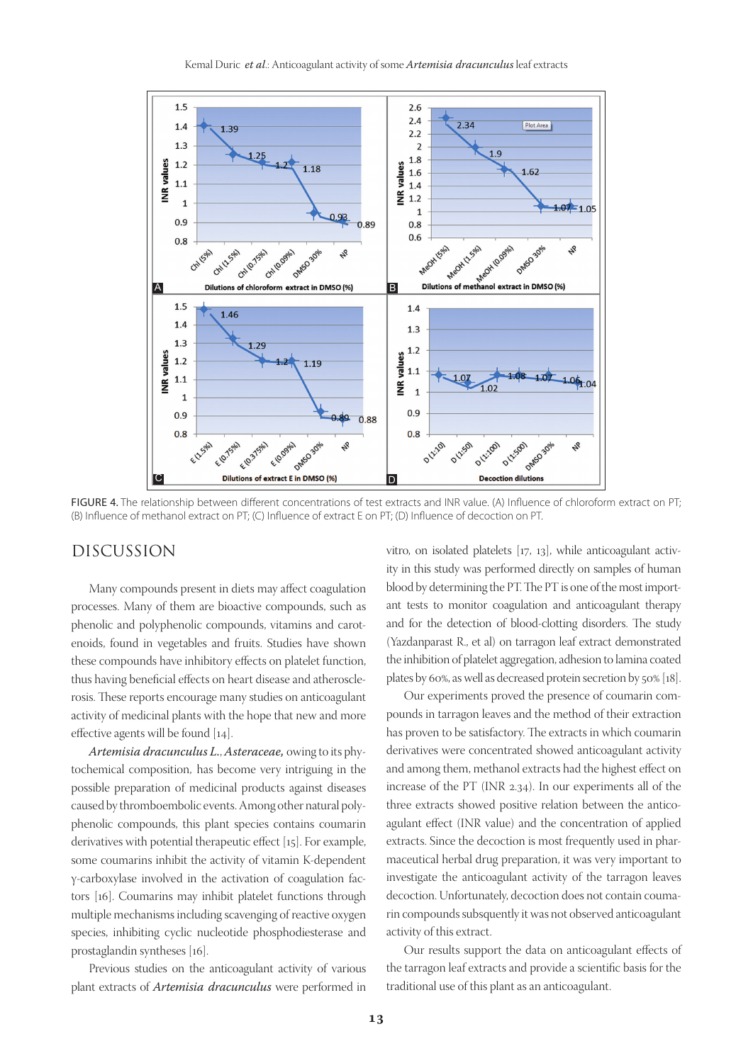

FIGURE 4. The relationship between different concentrations of test extracts and INR value. (A) Influence of chloroform extract on PT; (B) Influence of methanol extract on PT; (C) Influence of extract E on PT; (D) Influence of decoction on PT.

## DISCUSSION

Many compounds present in diets may affect coagulation processes. Many of them are bioactive compounds, such as phenolic and polyphenolic compounds, vitamins and carotenoids, found in vegetables and fruits. Studies have shown these compounds have inhibitory effects on platelet function, thus having beneficial effects on heart disease and atherosclerosis. These reports encourage many studies on anticoagulant activity of medicinal plants with the hope that new and more effective agents will be found [14].

*Artemisia dracunculus L.*, *Asteraceae,* owing to its phytochemical composition, has become very intriguing in the possible preparation of medicinal products against diseases caused by thromboembolic events. Among other natural polyphenolic compounds, this plant species contains coumarin derivatives with potential therapeutic effect [15]. For example, some coumarins inhibit the activity of vitamin K-dependent γ-carboxylase involved in the activation of coagulation factors [16]. Coumarins may inhibit platelet functions through multiple mechanisms including scavenging of reactive oxygen species, inhibiting cyclic nucleotide phosphodiesterase and prostaglandin syntheses [16].

Previous studies on the anticoagulant activity of various plant extracts of *Artemisia dracunculus* were performed in

vitro, on isolated platelets [17, 13], while anticoagulant activity in this study was performed directly on samples of human blood by determining the PT. The PT is one of the most important tests to monitor coagulation and anticoagulant therapy and for the detection of blood-clotting disorders. The study (Yazdanparast R., et al) on tarragon leaf extract demonstrated the inhibition of platelet aggregation, adhesion to lamina coated plates by 60%, as well as decreased protein secretion by 50% [18].

Our experiments proved the presence of coumarin compounds in tarragon leaves and the method of their extraction has proven to be satisfactory. The extracts in which coumarin derivatives were concentrated showed anticoagulant activity and among them, methanol extracts had the highest effect on increase of the PT (INR 2.34). In our experiments all of the three extracts showed positive relation between the anticoagulant effect (INR value) and the concentration of applied extracts. Since the decoction is most frequently used in pharmaceutical herbal drug preparation, it was very important to investigate the anticoagulant activity of the tarragon leaves decoction. Unfortunately, decoction does not contain coumarin compounds subsquently it was not observed anticoagulant activity of this extract.

Our results support the data on anticoagulant effects of the tarragon leaf extracts and provide a scientific basis for the traditional use of this plant as an anticoagulant.